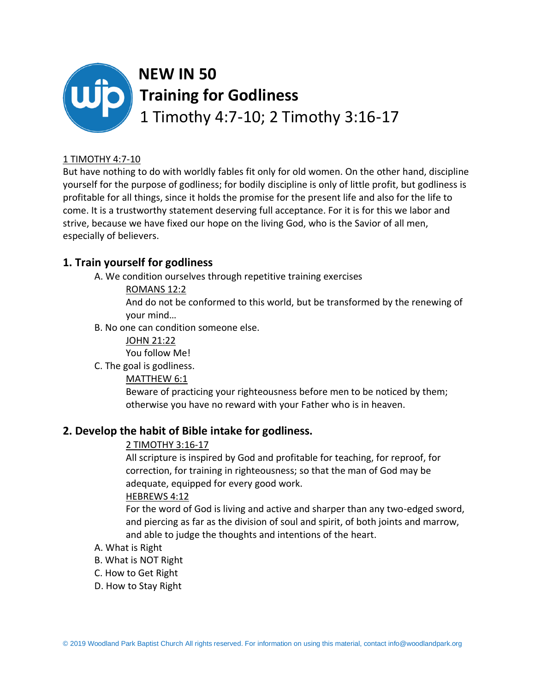

#### 1 TIMOTHY 4:7-10

But have nothing to do with worldly fables fit only for old women. On the other hand, discipline yourself for the purpose of godliness; for bodily discipline is only of little profit, but godliness is profitable for all things, since it holds the promise for the present life and also for the life to come. It is a trustworthy statement deserving full acceptance. For it is for this we labor and strive, because we have fixed our hope on the living God, who is the Savior of all men, especially of believers.

# **1. Train yourself for godliness**

A. We condition ourselves through repetitive training exercises

#### ROMANS 12:2

And do not be conformed to this world, but be transformed by the renewing of your mind…

B. No one can condition someone else.

JOHN 21:22 You follow Me!

C. The goal is godliness.

MATTHEW 6:1

Beware of practicing your righteousness before men to be noticed by them; otherwise you have no reward with your Father who is in heaven.

### **2. Develop the habit of Bible intake for godliness.**

### 2 TIMOTHY 3:16-17

All scripture is inspired by God and profitable for teaching, for reproof, for correction, for training in righteousness; so that the man of God may be adequate, equipped for every good work.

### HEBREWS 4:12

For the word of God is living and active and sharper than any two-edged sword, and piercing as far as the division of soul and spirit, of both joints and marrow, and able to judge the thoughts and intentions of the heart.

- A. What is Right
- B. What is NOT Right
- C. How to Get Right
- D. How to Stay Right